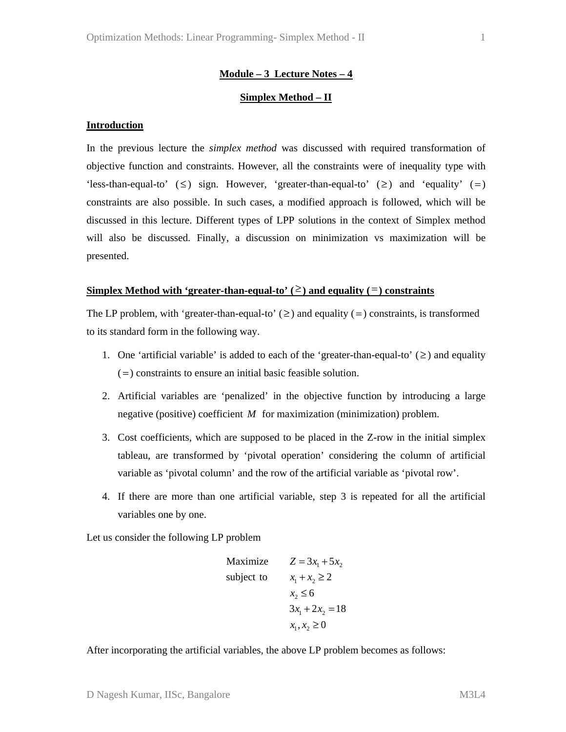# **Module – 3 Lecture Notes – 4**

# **Simplex Method – II**

#### **Introduction**

In the previous lecture the *simplex method* was discussed with required transformation of objective function and constraints. However, all the constraints were of inequality type with 'less-than-equal-to' ( $\leq$ ) sign. However, 'greater-than-equal-to' ( $\geq$ ) and 'equality' (=) constraints are also possible. In such cases, a modified approach is followed, which will be discussed in this lecture. Different types of LPP solutions in the context of Simplex method will also be discussed. Finally, a discussion on minimization vs maximization will be presented.

### **Simplex Method with 'greater-than-equal-to' (** $\geq$ **) and equality (** $\equiv$ **) constraints**

The LP problem, with 'greater-than-equal-to' ( $\geq$ ) and equality (=) constraints, is transformed to its standard form in the following way.

- 1. One 'artificial variable' is added to each of the 'greater-than-equal-to'  $(\geq)$  and equality  $( = )$  constraints to ensure an initial basic feasible solution.
- 2. Artificial variables are 'penalized' in the objective function by introducing a large negative (positive) coefficient *M* for maximization (minimization) problem.
- 3. Cost coefficients, which are supposed to be placed in the Z-row in the initial simplex tableau, are transformed by 'pivotal operation' considering the column of artificial variable as 'pivotal column' and the row of the artificial variable as 'pivotal row'.
- 4. If there are more than one artificial variable, step 3 is repeated for all the artificial variables one by one.

Let us consider the following LP problem

Maximize 
$$
Z = 3x_1 + 5x_2
$$
  
\nsubject to  $x_1 + x_2 \ge 2$   
\n $x_2 \le 6$   
\n $3x_1 + 2x_2 = 18$   
\n $x_1, x_2 \ge 0$ 

After incorporating the artificial variables, the above LP problem becomes as follows: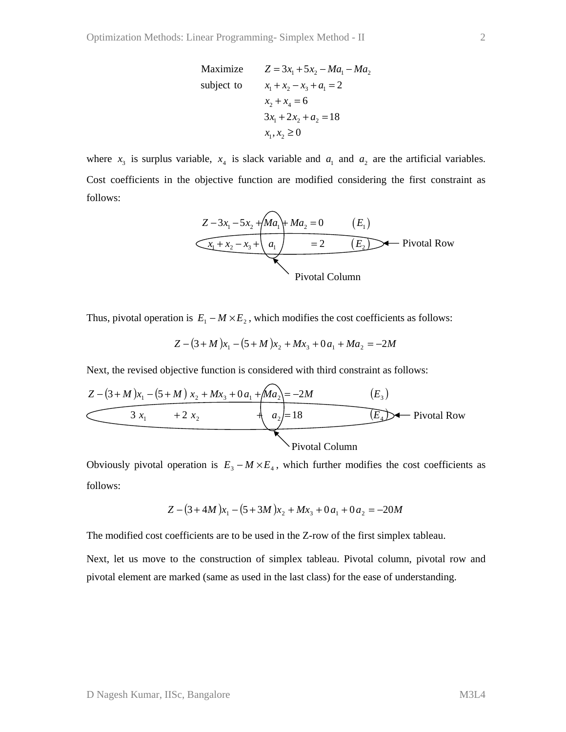Maximize 
$$
Z = 3x_1 + 5x_2 - Ma_1 - Ma_2
$$
  
\nsubject to  $x_1 + x_2 - x_3 + a_1 = 2$   
\n $x_2 + x_4 = 6$   
\n $3x_1 + 2x_2 + a_2 = 18$   
\n $x_1, x_2 \ge 0$ 

where  $x_3$  is surplus variable,  $x_4$  is slack variable and  $a_1$  and  $a_2$  are the artificial variables. Cost coefficients in the objective function are modified considering the first constraint as follows:



Thus, pivotal operation is  $E_1 - M \times E_2$ , which modifies the cost coefficients as follows:

$$
Z - (3 + M)x_1 - (5 + M)x_2 + Mx_3 + 0a_1 + Ma_2 = -2M
$$

Next, the revised objective function is considered with third constraint as follows:



Obviously pivotal operation is  $E_3 - M \times E_4$ , which further modifies the cost coefficients as follows:

$$
Z - (3 + 4M)x_1 - (5 + 3M)x_2 + Mx_3 + 0a_1 + 0a_2 = -20M
$$

The modified cost coefficients are to be used in the Z-row of the first simplex tableau.

Next, let us move to the construction of simplex tableau. Pivotal column, pivotal row and pivotal element are marked (same as used in the last class) for the ease of understanding.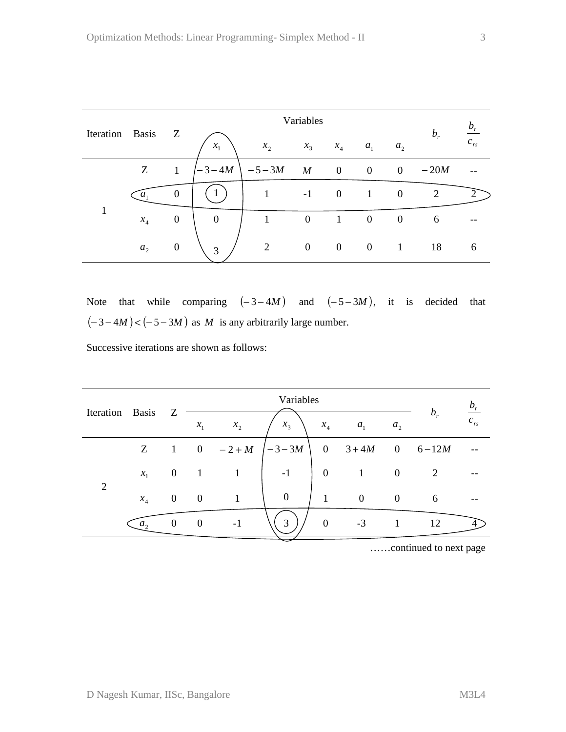| Iteration | Basis          |                  |                  |           | $b_r$            |                |                  |                  |        |          |
|-----------|----------------|------------------|------------------|-----------|------------------|----------------|------------------|------------------|--------|----------|
|           |                | Z                | $x_{1}$          | $x_{2}$   | $x_3$            | $x_4$          | $a_{1}$          | a <sub>2</sub>   | $b_r$  | $c_{rs}$ |
|           | Z              | 1                | $-3 - 4M$        | $-5 - 3M$ | $\boldsymbol{M}$ | $\overline{0}$ | $\boldsymbol{0}$ | $\overline{0}$   | $-20M$ |          |
|           | $a_{1}$        | $\theta$         | 1                | 1         | $-1$             | $\overline{0}$ | $\mathbf{1}$     | $\overline{0}$   | 2      |          |
|           | $x_4$          | $\boldsymbol{0}$ | $\boldsymbol{0}$ | 1         | $\boldsymbol{0}$ | $\mathbf{1}$   | $\overline{0}$   | $\boldsymbol{0}$ | 6      |          |
|           | a <sub>2</sub> | $\theta$         | 3                | 2         | $\overline{0}$   | $\overline{0}$ | $\mathbf{0}$     | 1                | 18     | 6        |

Note that while comparing  $(-3-4M)$  and  $(-5-3M)$ , it is decided that  $(-3 - 4M) < (-5 - 3M)$  as *M* is any arbitrarily large number.

Successive iterations are shown as follows:

| Iteration Basis |         |              |                  |        |                  | $b_r$          |                |                  |           |          |
|-----------------|---------|--------------|------------------|--------|------------------|----------------|----------------|------------------|-----------|----------|
|                 |         | Z            | $x_1$            | $x_2$  | $x_3$            | $x_4$          | a <sub>1</sub> | a <sub>2</sub>   | $b_r$     | $c_{rs}$ |
| $\overline{2}$  | Z       |              | $\overline{0}$   | $-2+M$ | $-3 - 3M$        | $\overline{0}$ | $3+4M$         |                  | 0 $6-12M$ |          |
|                 | $x_{1}$ | $\mathbf{0}$ |                  | 1      | $-1$             | $\mathbf{0}$   |                | $\boldsymbol{0}$ | 2         |          |
|                 | $x_4$   | $\theta$     | $\boldsymbol{0}$ | 1      | $\boldsymbol{0}$ | 1              | $\overline{0}$ | $\mathbf{0}$     | 6         |          |
|                 | $a_{2}$ | $\Omega$     | $\theta$         | $-1$   | $\mathcal{R}$    | $\overline{0}$ | $-3$           |                  | 12        |          |

……continued to next page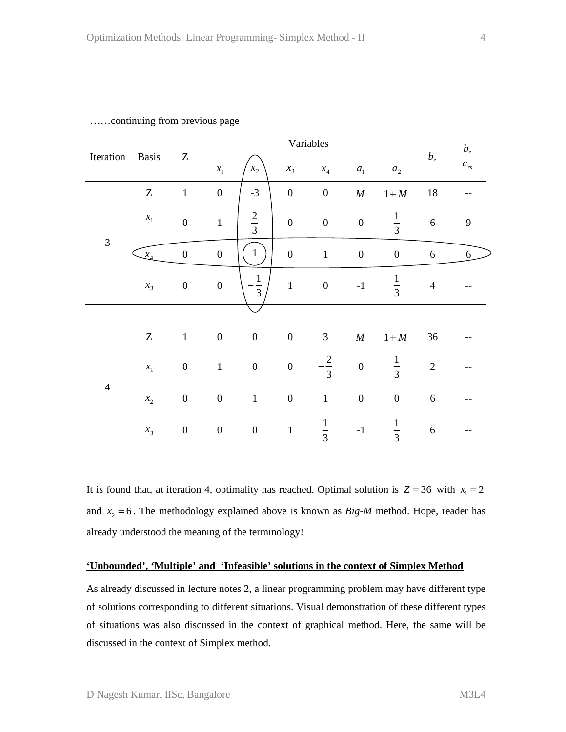| Communig nom previous page |                            |                               |                  |                  |                  |                  |                  |                  |                |                      |
|----------------------------|----------------------------|-------------------------------|------------------|------------------|------------------|------------------|------------------|------------------|----------------|----------------------|
| Iteration                  | <b>Basis</b>               |                               |                  |                  |                  |                  |                  |                  |                |                      |
|                            |                            | $\ensuremath{\textnormal{Z}}$ | $x_1$            | $x_{2}$          | $x_{3}$          | $x_4$            | $a_{1}$          | $a_{2}$          | $b_r$          | $\frac{b_r}{c_{rs}}$ |
| $\mathfrak{Z}$             | $\ensuremath{\mathbf{Z}}$  | $\,1\,$                       | $\boldsymbol{0}$ | $-3$             | $\boldsymbol{0}$ | $\boldsymbol{0}$ | $\cal M$         | $1+M$            | $18\,$         | --                   |
|                            | $x_{\scriptscriptstyle 1}$ | $\overline{0}$                | $\mathbf{1}$     | $rac{2}{3}$      | $\boldsymbol{0}$ | $\boldsymbol{0}$ | $\boldsymbol{0}$ | $\frac{1}{3}$    | 6              | $\boldsymbol{9}$     |
|                            | $\mathcal{X}_4$            | $\boldsymbol{0}$              | $\boldsymbol{0}$ | $\mathbf{1}$     | $\boldsymbol{0}$ | $\mathbf 1$      | $\boldsymbol{0}$ | $\boldsymbol{0}$ | $\sqrt{6}$     | 6                    |
|                            | $x_3$                      | $\boldsymbol{0}$              | $\boldsymbol{0}$ | $\frac{1}{3}$    | $\mathbf{1}$     | $\boldsymbol{0}$ | $-1$             | $\frac{1}{3}$    | $\overline{4}$ |                      |
|                            |                            |                               |                  |                  |                  |                  |                  |                  |                |                      |
| $\overline{4}$             | Z                          | $\,1\,$                       | $\boldsymbol{0}$ | $\boldsymbol{0}$ | $\boldsymbol{0}$ | $\mathfrak{Z}$   | $\cal M$         | $1+M$            | 36             |                      |
|                            | $x_{1}$                    | $\boldsymbol{0}$              | $\mathbf 1$      | $\boldsymbol{0}$ | $\boldsymbol{0}$ | $-\frac{2}{3}$   | $\boldsymbol{0}$ | $\frac{1}{3}$    | $\sqrt{2}$     |                      |
|                            | $x_2$                      | $\boldsymbol{0}$              | $\boldsymbol{0}$ | $\,1\,$          | $\boldsymbol{0}$ | $\,1\,$          | $\boldsymbol{0}$ | $\boldsymbol{0}$ | $\sqrt{6}$     |                      |
|                            | $x_{3}$                    | $\boldsymbol{0}$              | $\boldsymbol{0}$ | $\boldsymbol{0}$ | $\,1\,$          | $\frac{1}{3}$    | $-1$             | $\frac{1}{3}$    | $\sqrt{6}$     |                      |

……continuing from previous page

It is found that, at iteration 4, optimality has reached. Optimal solution is  $Z = 36$  with  $x_1 = 2$ and  $x_2 = 6$ . The methodology explained above is known as *Big-M* method. Hope, reader has already understood the meaning of the terminology!

# **'Unbounded', 'Multiple' and 'Infeasible' solutions in the context of Simplex Method**

As already discussed in lecture notes 2, a linear programming problem may have different type of solutions corresponding to different situations. Visual demonstration of these different types of situations was also discussed in the context of graphical method. Here, the same will be discussed in the context of Simplex method.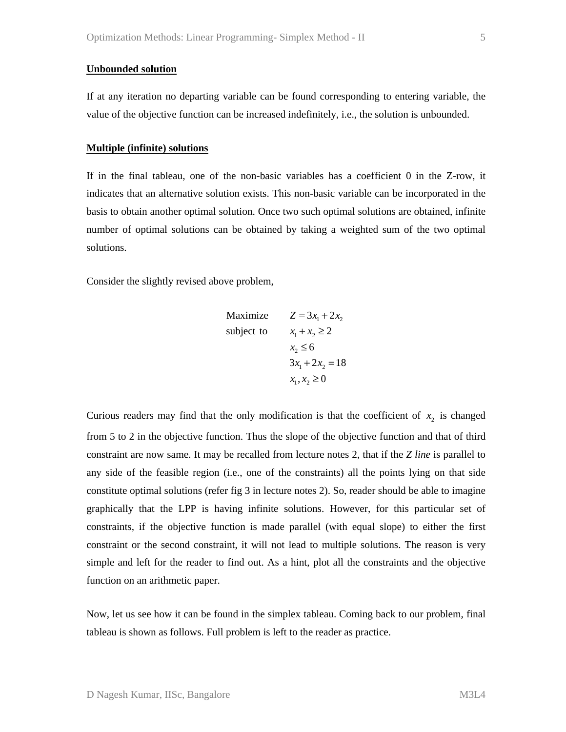#### **Unbounded solution**

If at any iteration no departing variable can be found corresponding to entering variable, the value of the objective function can be increased indefinitely, i.e., the solution is unbounded.

#### **Multiple (infinite) solutions**

If in the final tableau, one of the non-basic variables has a coefficient 0 in the Z-row, it indicates that an alternative solution exists. This non-basic variable can be incorporated in the basis to obtain another optimal solution. Once two such optimal solutions are obtained, infinite number of optimal solutions can be obtained by taking a weighted sum of the two optimal solutions.

Consider the slightly revised above problem,

$$
\begin{array}{ll}\n\text{Maximize} & Z = 3x_1 + 2x_2 \\
\text{subject to} & x_1 + x_2 \ge 2 \\
& x_2 \le 6 \\
& 3x_1 + 2x_2 = 18 \\
& x_1, x_2 \ge 0\n\end{array}
$$

Curious readers may find that the only modification is that the coefficient of  $x<sub>2</sub>$  is changed from 5 to 2 in the objective function. Thus the slope of the objective function and that of third constraint are now same. It may be recalled from lecture notes 2, that if the *Z line* is parallel to any side of the feasible region (i.e., one of the constraints) all the points lying on that side constitute optimal solutions (refer fig 3 in lecture notes 2). So, reader should be able to imagine graphically that the LPP is having infinite solutions. However, for this particular set of constraints, if the objective function is made parallel (with equal slope) to either the first constraint or the second constraint, it will not lead to multiple solutions. The reason is very simple and left for the reader to find out. As a hint, plot all the constraints and the objective function on an arithmetic paper.

Now, let us see how it can be found in the simplex tableau. Coming back to our problem, final tableau is shown as follows. Full problem is left to the reader as practice.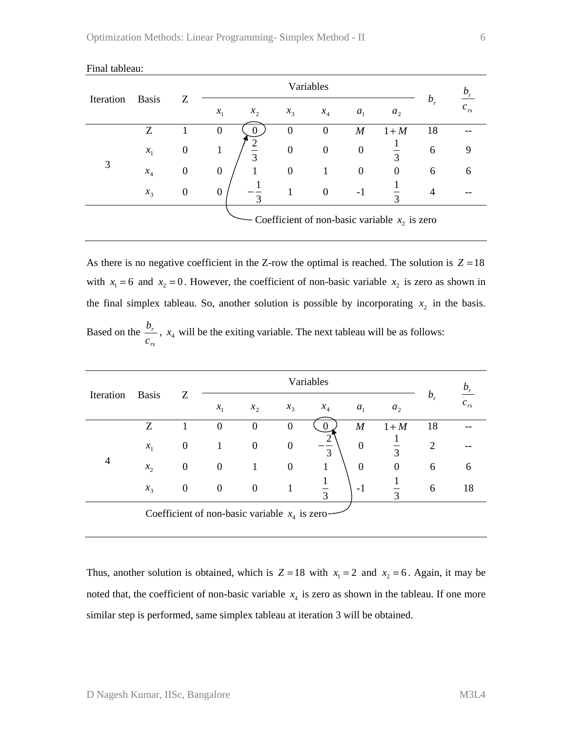| Iteration | <b>Basis</b>    | Ζ                |                                                 |                                    | $b_r$          |                  |                   |         |          |  |  |  |
|-----------|-----------------|------------------|-------------------------------------------------|------------------------------------|----------------|------------------|-------------------|---------|----------|--|--|--|
|           |                 |                  | $x_1$                                           | $x_{2}$<br>$x_3$                   | $x_4$          | a <sub>1</sub>   | a <sub>2</sub>    | $b_{r}$ | $c_{rs}$ |  |  |  |
|           | Ζ               |                  | $\theta$                                        | $\overline{0}$                     | $\theta$       | $\boldsymbol{M}$ | $1+M$             | 18      |          |  |  |  |
|           | $\mathcal{X}_1$ | 0                |                                                 | $\boldsymbol{0}$<br>$\overline{3}$ | $\overline{0}$ | $\overline{0}$   | ⌒                 | 6       |          |  |  |  |
| 3         | $x_4$           | $\overline{0}$   | $\theta$                                        | $\mathbf{0}$                       |                | $\overline{0}$   | $\mathbf{0}$      | 6       | 6        |  |  |  |
|           | $x_{3}$         | $\boldsymbol{0}$ | $\theta$                                        | 3                                  | $\overline{0}$ | $-1$             | $\mathbf{\Omega}$ | 4       |          |  |  |  |
|           |                 |                  | Coefficient of non-basic variable $x_2$ is zero |                                    |                |                  |                   |         |          |  |  |  |

#### Final tableau:

As there is no negative coefficient in the Z-row the optimal is reached. The solution is  $Z = 18$ with  $x_1 = 6$  and  $x_2 = 0$ . However, the coefficient of non-basic variable  $x_2$  is zero as shown in the final simplex tableau. So, another solution is possible by incorporating  $x<sub>2</sub>$  in the basis. Based on the *rs r*  $\frac{b_r}{c_{rs}}$ ,  $x_4$  will be the exiting variable. The next tableau will be as follows:

| Iteration                                        | <b>Basis</b> |                  |                  |                  | $b_r$            |               |                  |                  |         |          |  |
|--------------------------------------------------|--------------|------------------|------------------|------------------|------------------|---------------|------------------|------------------|---------|----------|--|
|                                                  |              | Ζ                | $x_1$            | $x_{2}$          | $x_3$            | $x_{4}$       | $a_{1}$          | a <sub>2</sub>   | $b_{r}$ | $c_{rs}$ |  |
|                                                  | Z            |                  | $\boldsymbol{0}$ | $\overline{0}$   | $\boldsymbol{0}$ | $\theta$      | $\boldsymbol{M}$ | $1+M$            | 18      |          |  |
|                                                  | $x_1$        | $\boldsymbol{0}$ |                  | $\overline{0}$   | $\boldsymbol{0}$ | $\mathcal{R}$ | $\boldsymbol{0}$ | $\overline{3}$   | 2       |          |  |
| 4                                                | $x_{2}$      | $\boldsymbol{0}$ | 0                | 1                | $\boldsymbol{0}$ | 1             | $\overline{0}$   | $\boldsymbol{0}$ | 6       | h        |  |
|                                                  | $x_3$        | $\boldsymbol{0}$ | $\boldsymbol{0}$ | $\boldsymbol{0}$ |                  | $\mathcal{R}$ | $-1$             | 3                | 6       | 18       |  |
| Coefficient of non-basic variable $x_4$ is zero- |              |                  |                  |                  |                  |               |                  |                  |         |          |  |

Thus, another solution is obtained, which is  $Z = 18$  with  $x_1 = 2$  and  $x_2 = 6$ . Again, it may be noted that, the coefficient of non-basic variable  $x<sub>4</sub>$  is zero as shown in the tableau. If one more similar step is performed, same simplex tableau at iteration 3 will be obtained.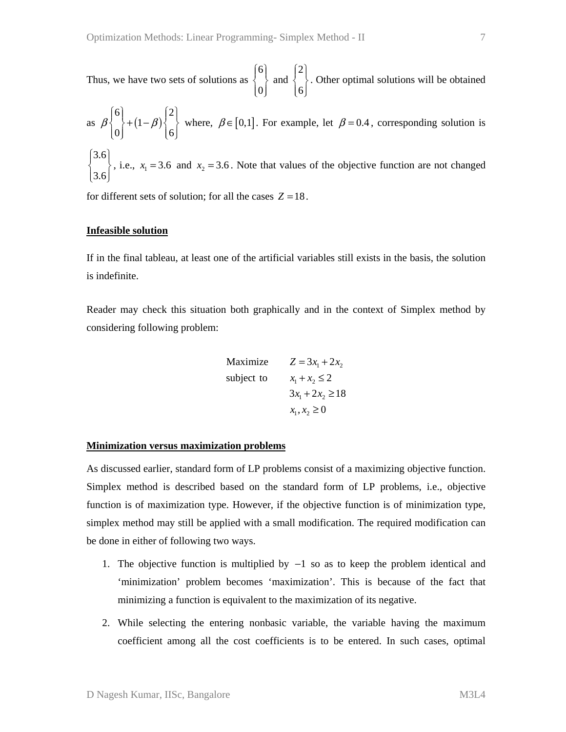Thus, we have two sets of solutions as 6 0  $\left\{\begin{matrix}6\\1\end{matrix}\right\}$  $\vert 0 \vert$  and 2  $\begin{bmatrix} 2 \\ 6 \end{bmatrix}$ . Other optimal solutions will be obtained

as 
$$
\beta \begin{Bmatrix} 6 \\ 0 \end{Bmatrix} + (1 - \beta) \begin{Bmatrix} 2 \\ 6 \end{Bmatrix}
$$
 where,  $\beta \in [0,1]$ . For example, let  $\beta = 0.4$ , corresponding solution is  
 $\begin{Bmatrix} 3.6 \\ 3.6 \end{Bmatrix}$ , i.e.,  $x_1 = 3.6$  and  $x_2 = 3.6$ . Note that values of the objective function are not changed

for different sets of solution; for all the cases  $Z = 18$ .

# **Infeasible solution**

If in the final tableau, at least one of the artificial variables still exists in the basis, the solution is indefinite.

Reader may check this situation both graphically and in the context of Simplex method by considering following problem:

$$
\begin{array}{ll}\n\text{Maximize} & Z = 3x_1 + 2x_2 \\
\text{subject to} & x_1 + x_2 \le 2 \\
& 3x_1 + 2x_2 \ge 18 \\
& x_1, x_2 \ge 0\n\end{array}
$$

#### **Minimization versus maximization problems**

As discussed earlier, standard form of LP problems consist of a maximizing objective function. Simplex method is described based on the standard form of LP problems, i.e., objective function is of maximization type. However, if the objective function is of minimization type, simplex method may still be applied with a small modification. The required modification can be done in either of following two ways.

- 1. The objective function is multiplied by −1 so as to keep the problem identical and 'minimization' problem becomes 'maximization'. This is because of the fact that minimizing a function is equivalent to the maximization of its negative.
- 2. While selecting the entering nonbasic variable, the variable having the maximum coefficient among all the cost coefficients is to be entered. In such cases, optimal